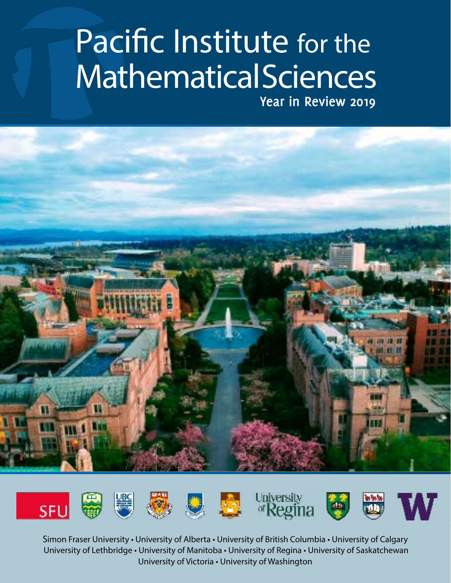## Pacific Institute for the Mathematical Sciences **Year in Review 2019**



Simon Fraser University • University of Alberta • University of British Columbia • University of Calgary University of Lethbridge • University of Manitoba • University of Regina • University of Saskatchewan University of Victoria • University of Washington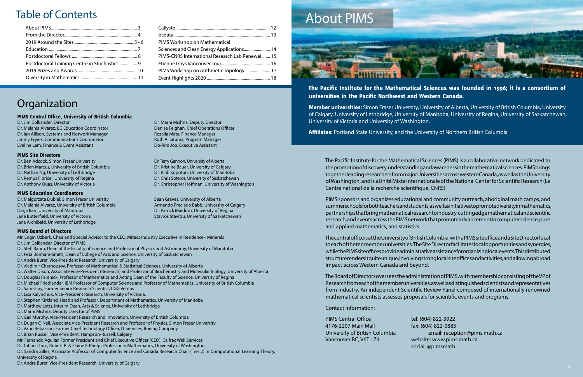## Table of Contents

| Postdoctoral Training Centre in Stochastics  9 |  |
|------------------------------------------------|--|
|                                                |  |
|                                                |  |
|                                                |  |

Dr. Melania Alvarez, BC Education Coordinator Denise Feighan, Chief Operations Officer Dr. Ian Allison, Systems and Network Manager Rozalia Mate, Finance Manager Jimmy Fryers, Communications Coordinator **Ruth A. Situma, Program Manager** Ruth A. Situma, Program Manager Eveline Lam, Finance & Event Assistant Do-Rim Joo, Executive Assistant

Dr. Ben Adcock, Simon Fraser University Dr. Terry Gannon, University of Alberta Dr. Brian Marcus, University of British Columbia Dr. Kristine Bauer, University of Calgary Dr. Nathan Ng, University of Lethbridge Dr. Kirill Kopotun, University of Manitoba Dr. Remus Floricel, University of Regina Dr. Chris Soteros, University of Saskatchewan

| PIMS Workshop on Mathematical                   |
|-------------------------------------------------|
|                                                 |
| PIMS-CNRS International Research Lab Renewal 15 |
|                                                 |
|                                                 |
|                                                 |

## Organization

Dr. Malgorzata Dubiel, Simon Fraser University Sean Graves, University of Alberta Dr. Melania Alvarez, University of British Columbia Armando Preciado Babb, University of Calgary Darja Barr, University of Manitoba Dr. Patrick Maidorn, University of Regina Jane Butterfield, University of Victoria Stavros Stavros Stavrou, University of Saskatchewan Jana Archibald, University of Lethbridge

## PIMS Central Office, University of British Columbia

Dr. Jim Colliander, Director Dr. Marni Mishna, Deputy Director

Dr. Anthony Quas, University of Victoria Dr. Christopher Hoffman, University of Washington

### PIMS Site Directors

### PIMS Education Coordinators

### PIMS Board of Directors

PIMS Central Office tel: (604) 822-3922 4176-2207 Main Mall fax: (604) 822-0883 Vancouver BC, V6T 1Z4 website: www.pims.math.ca

University of British Columbia email: reception@pims.math.ca social: @pimsmath

Mr. Engin Özberk, Chair and Special Advisor to the CEO, Mitacs Industry Executive in Residence– Minerals Dr. Jim Colliander, Director of PIMS Dr. Stefi Baum, Dean of the Faculty of Science and Professor of Physics and Astronomy, University of Manitoba Dr. Peta Bonham-Smith, Dean of College of Arts and Science, University of Saskatchewan Dr. André Buret, Vice-President Research, University of Calgary Dr. Vladimir Chernousov, Professor of Mathematical & Statistical Sciences, University of Alberta Dr. Walter Dixon, Associate Vice-President (Research) and Professor of Biochemistry and Molecular Biology, University of Alberta Dr. Douglas Farenick, Professor of Mathematics and Acting Dean of the Faculty of Science, University of Regina Dr. Michael Friedlander, IBM Professor of Computer Science and Professor of Mathematics, University of British Columbia Dr. Sam Gray, Former Senior Research Scientist, CGG Veritas Dr. Lisa Kalynchuk, Vice-President Research, University of Victoria. Dr. Stephen Kirkland, Head and Professor, Department of Mathematics, University of Manitoba Dr. Matthew Letts, Interim Dean, Arts & Science, University of Lethbridge Dr. Marni Mishna, Deputy Director of PIMS Dr. Gail Murphy, Vice-President Research and Innovation, University of British Columbia Dr. Dugan O'Neil, Associate Vice-President Research and Professor of Physics, Simon Fraser University Dr. Vaho Rebassoo, Former Chief Technology Officer, IT Services, Boeing Company Dr. Brian Russell, Vice-President, Hampson-Russell, Calgary Mr. Fernando Aguilar, Former President and Chief Executive Officer (CEO), Calfrac Well Services Dr. Tatiana Toro, Robert R. & Elaine F. Phelps Professor in Mathematics, University of Washington Dr. Sandra Zilles, Associate Professor of Computer Science and Canada Research Chair (Tier 2) in Computational Learning Theory, University of Regina Dr. André Buret, Vice-President Research, University of Calgary

The Pacific Institute for the Mathematical Sciences was founded in 1996; it is a consortium of

## universities in the Pacific Northwest and Western Canada.

**Member universities:** Simon Fraser University, University of Alberta, University of British Columbia, University of Calgary, University of Lethbridge, University of Manitoba, University of Regina, University of Saskatchewan, University of Victoria and University of Washington.

**Affiliates:** Portland State University, and the University of Northern British Columbia

The Pacific Institute for the Mathematical Sciences (PIMS) is a collaborative network dedicated to the promotion of discovery, understanding and awareness in the mathematical sciences. PIMS brings together leading researchers from major Universities across western Canada, as well as the University of Washington, and is a Unité Mixte Internationale of the National Center for Scientific Research (Le Centre national de la recherche scientifique, CNRS).

PIMS sponsors and organizes educational and community outreach, aboriginal math camps, and summer schools for both teachers and students, as well as initiatives to promote diversity in mathematics, partnerships that bring mathematical research to industry, cutting edge mathematical and scientific research, and events across the PIMS network that promote advancement in computer science, pure and applied mathematics, and statistics.

The central office is at the University of British Columbia, with a PIMS site office and a Site Director local to each of the ten member universities. The Site Director facilitates local opportunities and synergies, while the PIMS site offices provide administrative assistance for organizing local events. This distributed structure renders it quite unique, involving strong local site offices and activities, and allowing a broad impact across Western Canada and beyond.

The Board of Directors oversees the administration of PIMS, with membership consisting of the VP of Research from each of the member universities, as well as distinguished scientists and representatives from industry. An independent Scientific Review Panel composed of internationally renowned mathematical scientists assesses proposals for scientific events and programs.

### Contact information:

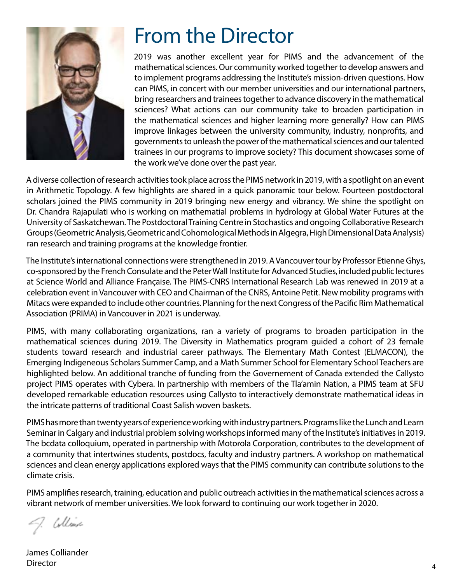

## From the Director

2019 was another excellent year for PIMS and the advancement of the mathematical sciences. Our community worked together to develop answers and to implement programs addressing the Institute's mission-driven questions. How can PIMS, in concert with our member universities and our international partners, bring researchers and trainees together to advance discovery in the mathematical sciences? What actions can our community take to broaden participation in the mathematical sciences and higher learning more generally? How can PIMS improve linkages between the university community, industry, nonprofits, and governments to unleash the power of the mathematical sciences and our talented trainees in our programs to improve society? This document showcases some of the work we've done over the past year.

A diverse collection of research activities took place across the PIMS network in 2019, with a spotlight on an event in Arithmetic Topology. A few highlights are shared in a quick panoramic tour below. Fourteen postdoctoral scholars joined the PIMS community in 2019 bringing new energy and vibrancy. We shine the spotlight on Dr. Chandra Rajapulati who is working on mathematial problems in hydrology at Global Water Futures at the University of Saskatchewan. The Postdoctoral Training Centre in Stochastics and ongoing Collaborative Research Groups (Geometric Analysis, Geometric and Cohomological Methods in Algegra, High Dimensional Data Analysis) ran research and training programs at the knowledge frontier.

The Institute's international connections were strengthened in 2019. A Vancouver tour by Professor Etienne Ghys, co-sponsored by the French Consulate and the Peter Wall Institute for Advanced Studies, included public lectures at Science World and Alliance Française. The PIMS-CNRS International Research Lab was renewed in 2019 at a celebration event in Vancouver with CEO and Chairman of the CNRS, Antoine Petit. New mobility programs with Mitacs were expanded to include other countries. Planning for the next Congress of the Pacific Rim Mathematical Association (PRIMA) in Vancouver in 2021 is underway.

PIMS, with many collaborating organizations, ran a variety of programs to broaden participation in the mathematical sciences during 2019. The Diversity in Mathematics program guided a cohort of 23 female students toward research and industrial career pathways. The Elementary Math Contest (ELMACON), the Emerging Indigeneous Scholars Summer Camp, and a Math Summer School for Elementary School Teachers are highlighted below. An additional tranche of funding from the Governement of Canada extended the Callysto project PIMS operates with Cybera. In partnership with members of the Tla'amin Nation, a PIMS team at SFU developed remarkable education resources using Callysto to interactively demonstrate mathematical ideas in the intricate patterns of traditional Coast Salish woven baskets.

PIMS has more than twenty years of experience working with industry partners. Programs like the Lunch and Learn Seminar in Calgary and industrial problem solving workshops informed many of the Institute's initiatives in 2019. The bcdata colloquium, operated in partnership with Motorola Corporation, contributes to the development of a community that intertwines students, postdocs, faculty and industry partners. A workshop on mathematical sciences and clean energy applications explored ways that the PIMS community can contribute solutions to the climate crisis.

PIMS amplifies research, training, education and public outreach activities in the mathematical sciences across a vibrant network of member universities. We look forward to continuing our work together in 2020.

Collect

James Colliander Director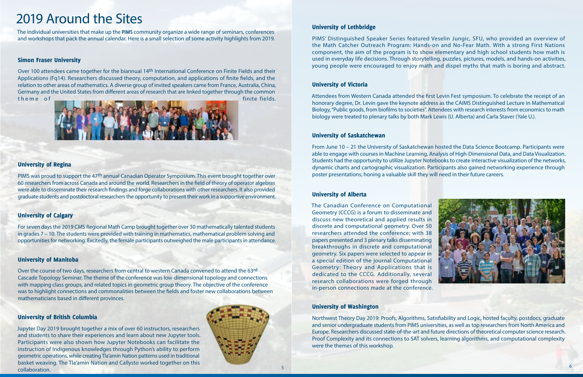## University of Lethbridge

PIMS' Distinguished Speaker Series featured Veselin Jungic, SFU, who provided an overview of the Math Catcher Outreach Program: Hands-on and No-Fear Math. With a strong First Nations component, the aim of the program is to show elementary and high school students how math is used in everyday life decisions. Through storytelling, puzzles, pictures, models, and hands-on activities, young people were encouraged to enjoy math and dispel myths that math is boring and abstract.

## University of Victoria

Attendees from Western Canada attended the first Levin Fest symposium. To celebrate the receipt of an honorary degree, Dr. Levin gave the keynote address as the CAIMS Distinguished Lecture in Mathematical Biology, "Public goods, from biofilms to societies". Attendees with research interests from economics to math biology were treated to plenary talks by both Mark Lewis (U. Alberta) and Carla Staver (Yale U.).

## University of Saskatchewan

From June 10 – 21 the University of Saskatchewan hosted the Data Science Bootcamp. Participants were able to engage with courses in Machine Learning, Analysis of High-Dimensional Data, and Data Visualization. Students had the opportunity to utilize Jupyter Notebooks to create interactive visualization of the networks, dynamic charts and cartographic visualization. Participants also gained networking experience through poster presentations, honing a valuable skill they will need in their future careers.

Over 100 attendees came together for the biannual 14th International Conference on Finite Fields and their Applications (Fq14). Researchers discussed theory, computation, and applications of finite fields, and the relation to other areas of mathematics. A diverse group of invited speakers came from France, Australia, China, Germany and the United States from different areas of research that are linked together through the common the me of finite fields.



## University of Alberta

The Canadian Conference on Computational Geometry (CCCG) is a forum to disseminate and discuss new theoretical and applied results in discrete and computational geometry. Over 50 researchers attended the conference; with 38 papers presented and 3 plenary talks disseminating breakthroughs in discrete and computational geometry. Six papers were selected to appear in a special edition of the journal Computational Geometry: Theory and Applications that is dedicated to the CCCG. Additionally, several research collaborations were forged through in-person connections made at the conference.

### University of Washington

Northwest Theory Day 2019: Proofs, Algorithms, Satisfiability and Logic, hosted faculty, postdocs, graduate and senior undergraduate students from PIMS universities, as well as top researchers from North America and Europe. Researchers discussed state-of-the-art and future directions of theoretical computer science research. Proof Complexity and its connections to SAT solvers, learning algorithms, and computational complexity were the themes of this workshop.

## 2019 Around the Sites

## Simon Fraser University

University of Regina

PIMS was proud to support the 47th annual Canadian Operator Symposium. This event brought together over 60 researchers from across Canada and around the world. Researchers in the field of theory of operator algebras were able to disseminate their research findings and forge collaborations with other researchers. It also provided graduate students and postdoctoral researchers the opportunity to present their work in a supportive environment.

## University of Calgary

For seven days the 2019 CMS Regional Math Camp brought together over 30 mathematically talented students in grades 7 – 10. The students were provided with training in mathematics, mathematical problem solving and opportunities for networking. Excitedly, the female participants outweighed the male participants in attendance.

## University of Manitoba

Over the course of two days, researchers from central to western Canada convened to attend the 63rd Cascade Topology Seminar. The theme of the conference was low-dimensional topology and connections with mapping class groups, and related topics in geometric group theory. The objective of the conference was to highlight connections and commonalities between the fields and foster new collaborations between mathematicians based in different provinces.

## University of British Columbia

Jupyter Day 2019 brought together a mix of over 60 instructors, researchers and students to share their experiences and learn about new Jupyter tools. Participants were also shown how Jupyter Notebooks can facilitate the instruction of Indigenous knowledges through Python's ability to perform geometric operations, while creating Tla'amin Nation patterns used in traditional basket weaving. The Tla'amin Nation and Callysto worked together on this collaboration.



The individual universities that make up the **PIMS** community organize a wide range of seminars, conferences and workshops that pack the annual calendar. Here is a small selection of some activity highlights from 2019.

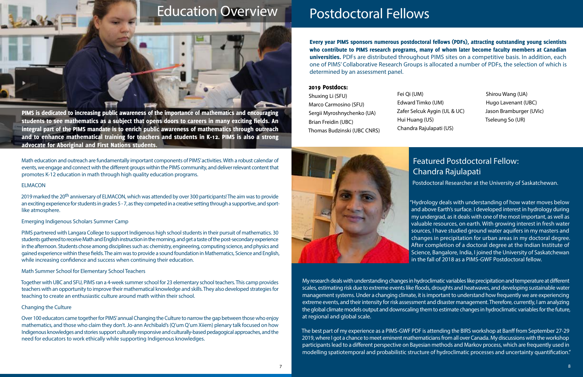## Postdoctoral Fellows

Every year PIMS sponsors numerous postdoctoral fellows (PDFs), attracting outstanding young scientists who contribute to PIMS research programs, many of whom later become faculty members at Canadian universities. PDFs are distributed throughout PIMS sites on a competitive basis. In addition, each one of PIMS' Collaborative Research Groups is allocated a number of PDFs, the selection of which is determined by an assessment panel.

### 2019 Postdocs:

Shuxing Li (SFU) Marco Carmosino (SFU) Sergii Myroshnychenko (UA) Brian Freidin (UBC) Thomas Budzinski (UBC CNRS) Fei Qi (UM) Edward Timko (UM) Zafer Selcuk Aygin (UL & UC) Hui Huang (US) Chandra Rajulapati (US)



Shirou Wang (UA) Hugo Lavenant (UBC) Jason Bramburger (UVic) Tseleung So (UR)

## Featured Postdoctoral Fellow: Chandra Rajulapati

Postdoctoral Researcher at the University of Saskatchewan.

"Hydrology deals with understanding of how water moves below and above Earth's surface. I developed interest in hydrology during my undergrad, as it deals with one of the most important, as well as valuable resources, on earth. With growing interest in fresh water sources, I have studied ground water aquifers in my masters and changes in precipitation for urban areas in my doctoral degree. After completion of a doctoral degree at the Indian Institute of Science, Bangalore, India, I joined the University of Saskatchewan in the fall of 2018 as a PIMS-GWF Postdoctoral fellow.

Math education and outreach are fundamentally important components of PIMS' activities. With a robust calendar of events, we engage and connect with the different groups within the PIMS community, and deliver relevant content that promotes K-12 education in math through high quality education programs.

2019 marked the 20<sup>th</sup> anniversary of ELMACON, which was attended by over 300 participants! The aim was to provide an exciting experience for students in grades 5 - 7, as they competed in a creative setting through a supportive, and sportlike atmosphere.

> My research deals with understanding changes in hydroclimatic variables like precipitation and temperature at different scales, estimating risk due to extreme events like floods, droughts and heatwaves, and developing sustainable water management systems. Under a changing climate, it is important to understand how frequently we are experiencing extreme events, and their intensity for risk assessment and disaster management. Therefore, currently, I am analyzing the global climate models output and downscaling them to estimate changes in hydroclimatic variables for the future, at regional and global scale.

> The best part of my experience as a PIMS-GWF PDF is attending the BIRS workshop at Banff from September 27-29 2019, where I got a chance to meet eminent mathematicians from all over Canada. My discussions with the workshop participants lead to a different perspective on Bayesian methods and Markov process, which are frequently used in modelling spatiotemporal and probabilistic structure of hydroclimatic processes and uncertainty quantification."

### ELMACON

### Emerging Indigenous Scholars Summer Camp

PIMS partnered with Langara College to support Indigenous high school students in their pursuit of mathematics. 30 students gathered to receive Math and English instruction in the morning, and get a taste of the post-secondary experience in the afternoon. Students chose among disciplines such as: chemistry, engineering, computing science, and physics and gained experience within these fields. The aim was to provide a sound foundation in Mathematics, Science and English, while increasing confidence and success when continuing their education.

### Math Summer School for Elementary School Teachers

Together with UBC and SFU, PIMS ran a 4-week summer school for 23 elementary school teachers. This camp provides teachers with an opportunity to improve their mathematical knowledge and skills. They also developed strategies for teaching to create an enthusiastic culture around math within their school.

### Changing the Culture

Over 100 educators came together for PIMS' annual Changing the Culture to narrow the gap between those who enjoy mathematics, and those who claim they don't. Jo-ann Archibald's (Q'um Q'um Xiiem) plenary talk focused on how Indigenous knowledges and stories support culturally responsive and culturally-based pedagogical approaches, and the need for educators to work ethically while supporting Indigenous knowledges.

PIMS is dedicated to increasing public awareness of the importance of mathematics and encouraging students to see mathematics as a subject that opens doors to careers in many exciting fields. An integral part of the PIMS mandate is to enrich public awareness of mathematics through outreach and to enhance mathematical training for teachers and students in K-12. PIMS is also a strong advocate for Aboriginal and First Nations students.

''

## Education Overview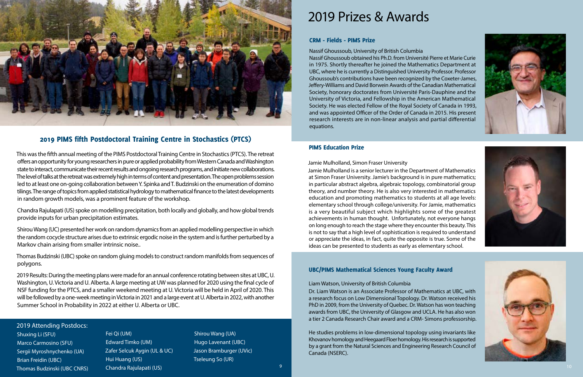## PIMS Education Prize

Jamie Mulholland, Simon Fraser University Jamie Mulholland is a senior lecturer in the Department of Mathematics at Simon Fraser University. Jamie's background is in pure mathematics; in particular abstract algebra, algebraic topology, combinatorial group theory, and number theory. He is also very interested in mathematics education and promoting mathematics to students at all age levels: elementary school through college/university. For Jamie, mathematics is a very beautiful subject which highlights some of the greatest achievements in human thought. Unfortunately, not everyone hangs on long enough to reach the stage where they encounter this beauty. This is not to say that a high level of sophistication is required to understand or appreciate the ideas, in fact, quite the opposite is true. Some of the ideas can be presented to students as early as elementary school.

## 2019 Prizes & Awards

### CRM - Fields - PIMS Prize

Nassif Ghoussoub, University of British Columbia Nassif Ghoussoub obtained his Ph.D. from Université Pierre et Marie Curie in 1975. Shortly thereafter he joined the Mathematics Department at UBC, where he is currently a Distinguished University Professor. Professor Ghoussoub's contributions have been recognized by the Coxeter-James, Jeffery-Williams and David Borwein Awards of the Canadian Mathematical Society, honorary doctorates from Université Paris-Dauphine and the University of Victoria, and Fellowship in the American Mathematical Society. He was elected Fellow of the Royal Society of Canada in 1993, and was appointed Officer of the Order of Canada in 2015. His present research interests are in non-linear analysis and partial differential equations.

## UBC/PIMS Mathematical Sciences Young Faculty Award

Liam Watson, University of British Columbia Dr. Liam Watson is an Associate Professor of Mathematics at UBC, with a research focus on Low Dimensional Topology. Dr. Watson received his PhD in 2009, from the University of Quebec. Dr. Watson has won teaching awards from UBC, the University of Glasgow and UCLA. He has also won a tier 2 Canada Research Chair award and a CRM- Simons professorship.

He studies problems in low-dimensional topology using invariants like Khovanov homology and Heegaard Floer homology. His research is supported by a grant from the Natural Sciences and Engineering Research Council of Canada (NSERC).

## 2019 PIMS fifth Postdoctoral Training Centre in Stochastics (PTCS)

This was the fifth annual meeting of the PIMS Postdoctoral Training Centre in Stochastics (PTCS). The retreat offers an opportunity for young researchers in pure or applied probability from Western Canada and Washington state to interact, communicate their recent results and ongoing research programs, and initiate new collaborations. The level of talks at the retreat was extremely high in terms of content and presentation. The open problems session led to at least one on-going collaboration between Y. Spinka and T. Budzinski on the enumeration of domino tilings. The range of topics from applied statistical hydrology to mathematical finance to the latest developments in random growth models, was a prominent feature of the workshop.

Chandra Rajulapati (US) spoke on modelling precipitation, both locally and globally, and how global trends provide inputs for urban precipitation estimates.

Shirou Wang (UC) presented her work on random dynamics from an applied modelling perspective in which the random cocycle structure arises due to extrinsic ergodic noise in the system and is further perturbed by a Markov chain arising from smaller intrinsic noise..

Thomas Budzinski (UBC) spoke on random gluing models to construct random manifolds from sequences of polygons.

2019 Results: During the meeting plans were made for an annual conference rotating between sites at UBC, U. Washington, U. Victoria and U. Alberta. A large meeting at UW was planned for 2020 using the final cycle of NSF funding for the PTCS, and a smaller weekend meeting at U. Victoria will be held in April of 2020. This will be followed by a one-week meeting in Victoria in 2021 and a large event at U. Alberta in 2022, with another Summer School in Probability in 2022 at either U. Alberta or UBC.









## 2019 Attending Postdocs:

Shuxing Li (SFU) Marco Carmosino (SFU) Sergii Myroshnychenko (UA) Brian Freidin (UBC) Thomas Budzinski (UBC CNRS)

## Fei Qi (UM) Edward Timko (UM) Zafer Selcuk Aygin (UL & UC) Hui Huang (US) Chandra Rajulapati (US)

Shirou Wang (UA) Hugo Lavenant (UBC) Jason Bramburger (UVic) Tseleung So (UR)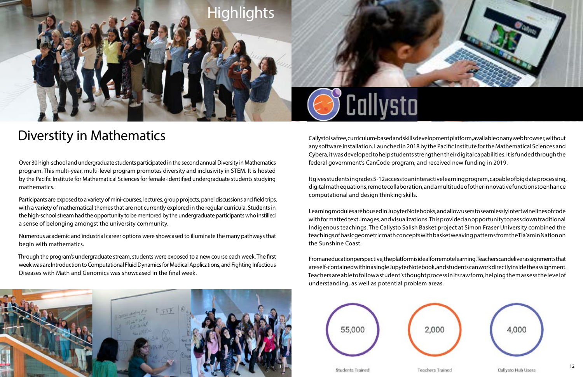## Diverstity in Mathematics

Over 30 high-school and undergraduate students participated in the second annual Diversity in Mathematics program. This multi-year, multi-level program promotes diversity and inclusivity in STEM. It is hosted by the Pacific Institute for Mathematical Sciences for female-identified undergraduate students studying mathematics.

Participants are exposed to a variety of mini-courses, lectures, group projects, panel discussions and field trips, with a variety of mathematical themes that are not currently explored in the regular curricula. Students in the high-school stream had the opportunity to be mentored by the undergraduate participants who instilled a sense of belonging amongst the university community.

Callysto is a free, curriculum-based and skills development platform, available on any web browser, without any software installation. Launched in 2018 by the Pacific Institute for the Mathematical Sciences and Cybera, it was developed to help students strengthen their digital capabilities. It is funded through the federal government's CanCode program, and received new funding in 2019.

Numerous academic and industrial career options were showcased to illuminate the many pathways that begin with mathematics.

Through the program's undergraduate stream, students were exposed to a new course each week. The first week was an: Introduction to Computational Fluid Dynamics for Medical Applications, and Fighting Infectious Diseases with Math and Genomics was showcased in the final week.











It gives students in grades 5-12 access to an interactive learning program, capable of big data processing, digital math equations, remote collaboration, and a multitude of other innovative functions to enhance computational and design thinking skills.

Learning modules are housed in Jupyter Notebooks, and allow users to seamlessly intertwine lines of code with formatted text, images, and visualizations. This provided an opportunity to pass down traditional Indigenous teachings. The Callysto Salish Basket project at Simon Fraser University combined the teachings of basic geometric math concepts with basket weaving patterns from the Tla'amin Nation on the Sunshine Coast.

From an education perspective, the platform is ideal for remote learning. Teachers can deliver assignments that are self-contained within a single Jupyter Notebook, and students can work directly inside the assignment. Teachers are able to follow a student's thought process in its raw form, helping them assess the level of understanding, as well as potential problem areas.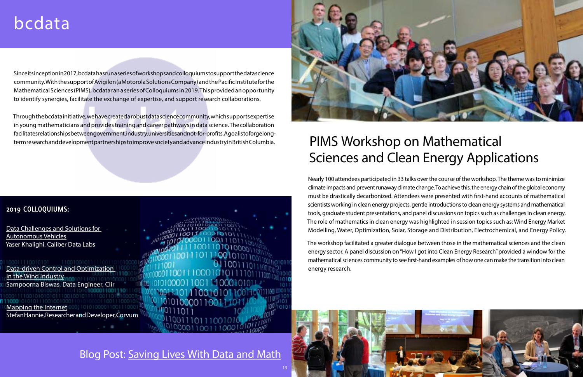# bcdata

## **2019 COLLOQUIUMS:**

[Data Challenges and Solutions for](https://bcdata.ca/colloquium/2019-2020/20191121-khalighi/)  [Autonomous Vehicles](https://bcdata.ca/colloquium/2019-2020/20191121-khalighi/) Yaser Khalighi, [Caliber Data Labs](https://www.caliberdatalabs.ai/)

[Data-driven Control and Optimization](https://bcdata.ca/colloquium/2019-2020/20190926-biswas/)  [in the Wind Industry](https://bcdata.ca/colloquium/2019-2020/20190926-biswas/) Sampoorna Biswas, Data Engineer, [Clir](https://clir.eco/)

[Mapping the Internet](https://bcdata.ca/colloquium/2019-2020/20191024-hannie/) 00] 1010100001100 Stefan Hannie, Researcher and Developer, [Corvum](https://www.corvum.ca/)

## Blog Post: [Saving Lives With Data and Math](https://medium.com/pims-math/saving-lives-with-data-and-math-b697667d1cd7)

## PIMS Workshop on Mathematical Sciences and Clean Energy Applications

Nearly 100 attendees participated in 33 talks over the course of the workshop. The theme was to minimize climate impacts and prevent runaway climate change. To achieve this, the energy chain of the global economy must be drastically decarbonized. Attendees were presented with first-hand accounts of mathematical scientists working in clean energy projects, gentle introductions to clean energy systems and mathematical tools, graduate student presentations, and panel discussions on topics such as challenges in clean energy. The role of mathematics in clean energy was highlighted in session topics such as: Wind Energy Market Modelling, Water, Optimization, Solar, Storage and Distribution, Electrochemical, and Energy Policy.

Since its inception in 2017, bcdata has run a series of workshops and colloquiums to support the data science community. With the support of [Avigilon \(a Motorola Solutions Company\)](http://avigilon.com/) and the [Pacific Institute for the](https://www.pims.math.ca/)  [Mathematical Sciences \(PIMS\)](https://www.pims.math.ca/), bcdata ran a series of Colloquiums in 2019. This provided an opportunity to identify synergies, facilitate the exchange of expertise, and support research collaborations.

> The workshop facilitated a greater dialogue between those in the mathematical sciences and the clean energy sector. A panel discussion on "How I got into Clean Energy Research" provided a window for the mathematical sciences community to see first-hand examples of how one can make the transition into clean energy research.



Through the bcdata initiative, we have created a robust data science community, which supports expertise in young mathematicians and provides training and career pathways in data science. The collaboration facilitates relationships between government, industry, universities and not-for-profits. A goal is to forge longterm research and development partnerships to improve society and advance industry in British Columbia.

![](_page_7_Picture_3.jpeg)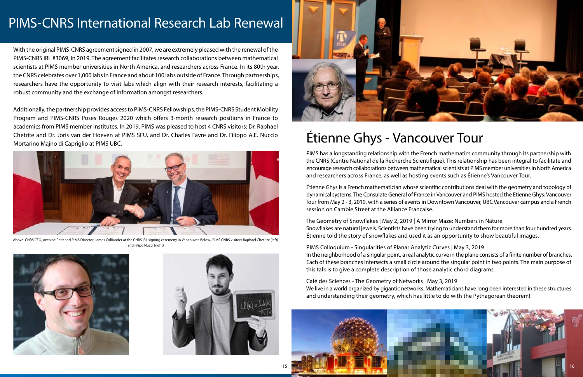## PIMS-CNRS International Research Lab Renewal

With the original PIMS-CNRS agreement signed in 2007, we are extremely pleased with the renewal of the PIMS-CNRS IRL #3069, in 2019. The agreement facilitates research collaborations between mathematical scientists at PIMS member universities in North America, and researchers across France. In its 80th year, the CNRS celebrates over 1,000 labs in France and about 100 labs outside of France. Through partnerships, researchers have the opportunity to visit labs which align with their research interests, facilitating a robust community and the exchange of information amongst researchers.

![](_page_8_Picture_14.jpeg)

Additionally, the partnership provides access to PIMS-CNRS Fellowships, the PIMS-CNRS Student Mobility Program and PIMS-CNRS Poses Rouges 2020 which offers 3-month research positions in France to academics from PIMS member institutes. In 2019, PIMS was pleased to host 4 CNRS visitors: Dr. Raphael Chetrite and Dr. Joris van der Hoeven at PIMS SFU, and Dr. Charles Favre and Dr. Filippo A.E. Nuccio Mortarino Majno di Capriglio at PIMS UBC.

## Étienne Ghys - Vancouver Tour

PIMS has a longstanding relationship with the French mathematics community through its partnership with the CNRS (Centre National de la Recherche Scientifique). This relationship has been integral to facilitate and encourage research collaborations between mathematical scientists at PIMS member universities in North America and researchers across France, as well as hosting events such as Étienne's Vancouver Tour.

Étienne Ghys is a French mathematician whose scientific contributions deal with the geometry and topology of dynamical systems. The Consulate General of France in Vancouver and PIMS hosted the Etienne Ghys: Vancouver Tour from May 2 - 3, 2019, with a series of events in Downtown Vancouver, UBC Vancouver campus and a French session on Cambie Street at the Alliance Française.

The Geometry of Snowflakes | May 2, 2019 | A Mirror Maze: Numbers in Nature Snowflakes are natural jewels. Scientists have been trying to understand them for more than four hundred years. Étienne told the story of snowflakes and used it as an opportunity to show beautiful images.

PIMS Colloquium - Singularities of Planar Analytic Curves | May 3, 2019 In the neighborhood of a singular point, a real analytic curve in the plane consists of a finite number of branches. Each of these branches intersects a small circle around the singular point in two points. The main purpose of this talk is to give a complete description of those analytic chord diagrams.

Café des Sciences - The Geometry of Networks | May 3, 2019 We live in a world organized by gigantic networks. Mathematicians have long been interested in these structures and understanding their geometry, which has little to do with the Pythagorean theorem!

![](_page_8_Picture_3.jpeg)

Above: CNRS CEO, Antoine Petit and PIMS Director, James Colliander at the CNRS IRL signing ceremeny in Vancouver. Below, PIMS CNRS visitors Raphael Chetrite (left) and Filipo Nucci (right)

![](_page_8_Picture_5.jpeg)

![](_page_8_Picture_6.jpeg)

![](_page_8_Picture_7.jpeg)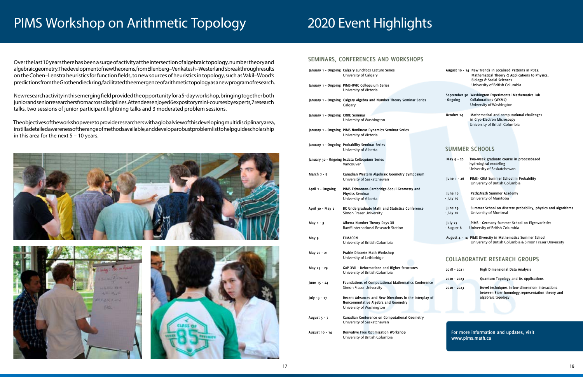## PIMS Workshop on Arithmetic Topology

Over the last 10 years there has been a surge of activity at the intersection of algebraic topology, number theory and algebraic geometry. The development of new theorems, from Ellenberg-Venkatesh-Westerland's breakthrough results on the Cohen–Lenstra heuristics for function fields, to new sources of heuristics in topology, such as Vakil–Wood's predictions from the Grothendieck ring, facilitated the emergence of arithmetic topology as a new program of research.

New research activity in this emerging field provided the opportunity for a 5-day workshop, bringing together both junior and senior researchers from across disciplines. Attendees enjoyed 6 expository mini-courses by experts, 7 research talks, two sessions of junior participant lightning talks and 3 moderated problem sessions.

The objectives of the workshop were to provide researchers with a global view of this developing multidisciplinary area, instill a detailed awareness of the range of methods available, and develop a robust problem list to help quide scholarship in this area for the next 5 – 10 years.

![](_page_9_Picture_5.jpeg)

![](_page_9_Picture_6.jpeg)

![](_page_9_Picture_7.jpeg)

|            | August 10 - 14 New Trends in Localized Patterns in PDEs:<br>Mathematical Theory & Applications to Physics,<br>Biology & Social Sciences<br>University of British Columbia |
|------------|---------------------------------------------------------------------------------------------------------------------------------------------------------------------------|
| - Ongoing  | September 30 Washington Experimental Mathematics Lab<br><b>Collaborations (WXML)</b><br>University of Washington                                                          |
| October 24 | Mathematical and computational challenges<br>.                                                                                                                            |

 **in Cryo-Electron Microscopy** University of British Columbia

### **SEMINARS, CONFERENCES AND WORKSHOPS**

|                                  | January 1 - Ongoing Calgary Lunchbox Lecture Series<br>University of Calgary                                              |
|----------------------------------|---------------------------------------------------------------------------------------------------------------------------|
|                                  | January 1 - Ongoing PIMS-UVIC Colloquium Series<br>University of Victoria                                                 |
|                                  | January 1 - Ongoing Calgary Algebra and Number Theory Seminar Series<br>Calgary                                           |
| January 1 - Ongoing CORE Seminar | University of Washington                                                                                                  |
|                                  | January 1 - Ongoing PIMS Nonlinear Dynamics Seminar Series<br>University of Victoria                                      |
|                                  | January 1 - Ongoing Probability Seminar Series<br>University of Alberta                                                   |
|                                  | January 30 - Ongoing bcdata Colloquium Series<br>Vancouver                                                                |
| March $7 - 8$                    | Canadian Western Algebraic Geometry Symposium<br>University of Saskatchewan                                               |
| April 1 - Ongoing                | PIMS Edmonton-Cambridge-Seoul Geometry and<br><b>Physics Seminar</b><br>University of Alberta                             |
| April 30 - May 2                 | BC Undergraduate Math and Statistics Conference<br><b>Simon Fraser University</b>                                         |
| May 1 - 3                        | Alberta Number Theory Days XII<br><b>Banff International Research Station</b>                                             |
| May 9                            | <b>ELMACON</b><br>University of British Columbia                                                                          |
| May 20 - 21                      | Prairie Discrete Math Workshop<br>University of Lethbridge                                                                |
| May 25 - 29                      | GAP XVII - Deformations and Higher Structures<br>University of British Columbia                                           |
| June 15 - 24                     | Foundations of Computational Mathematics Conference<br><b>Simon Fraser University</b>                                     |
| July 13 - 17                     | Recent Advances and New Directions in the Interplay of<br>Noncommutative Algebra and Geometry<br>University of Washington |
| August 5 - 7                     | Canadian Conference on Computational Geometry<br>University of Saskatchewan                                               |
| August 10 - 14                   | Derivative Free Optimization Workshop<br>University of British Columbia                                                   |

**For more information and updates, visit www.pims.math.ca**

## 2020 Event Highlights

| Two-week graduate course in processbased<br>hydrological modeling |
|-------------------------------------------------------------------|
| University of Saskatchewan                                        |
| PIMS- CRM Summer School in Probability                            |
| University of British Columbia                                    |
| Path2Math Summer Academy                                          |
| University of Manitoba                                            |
| Summer School on discrete probability, physics and algorithms     |
| University of Montreal                                            |
|                                                                   |
| PIMS - Germany Summer School on Eigenvarieties                    |
| University of British Columbia                                    |
| August 4 - 14 PIMS Diversity in Mathematics Summer School         |
|                                                                   |
| University of British Columbia & Simon Fraser University          |
|                                                                   |

| $2018 - 2021$ | High Dimensional Data Analysis                                                                                             |
|---------------|----------------------------------------------------------------------------------------------------------------------------|
| 2020 - 2023   | Quantum Topology and Its Applications                                                                                      |
| 2020 - 2023   | Novel techniques in low dimension: Interactions<br>between Floer homology, representation theory and<br>algebraic topology |

## **COLLABORATIVE RESEARCH GROUPS**

## **SUMMER SCHOOLS**